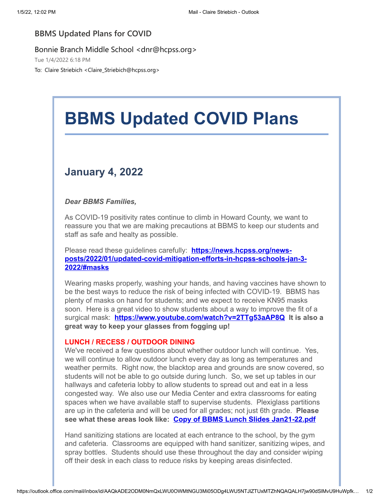## **BBMS Updated Plans for COVID**

Bonnie Branch Middle School <dnr@hcpss.org>

Tue 1/4/2022 6:18 PM

To: Claire Striebich <Claire\_Striebich@hcpss.org>

# **BBMS Updated COVID Plans**

## **January 4, 2022**

### *Dear BBMS Families,*

As COVID-19 positivity rates continue to climb in Howard County, we want to reassure you that we are making precautions at BBMS to keep our students and staff as safe and healty as possible.

Please read these guidelines carefully: **https://news.hcpss.org/news[posts/2022/01/updated-covid-mitigation-efforts-in-hcpss-schools-jan-3-](https://nam10.safelinks.protection.outlook.com/?url=http%3A%2F%2Ftrack.spe.schoolmessenger.com%2Ff%2Fa%2FQ5K9Drf5M6Um-uRBbXUBPA~~%2FAAAAAQA~%2FRgRjtglPP0RtaHR0cHM6Ly9uZXdzLmhjcHNzLm9yZy9uZXdzLXBvc3RzLzIwMjIvMDEvdXBkYXRlZC1jb3ZpZC1taXRpZ2F0aW9uLWVmZm9ydHMtaW4taGNwc3Mtc2Nob29scy1qYW4tMy0yMDIyLyNtYXNrc1cHc2Nob29sbUIKYbvP1dRhPkrU21IaY2xhaXJlX3N0cmllYmljaEBoY3Bzcy5vcmdYBAAAAAE~&data=04%7C01%7Cclaire_striebich%40hcpss.org%7Cb65e08ddf3c4486d48fc08d9cfd88abc%7C96a9ac4c477e4dada2b28ad3fc46790b%7C1%7C0%7C637769351219765339%7CUnknown%7CTWFpbGZsb3d8eyJWIjoiMC4wLjAwMDAiLCJQIjoiV2luMzIiLCJBTiI6Ik1haWwiLCJXVCI6Mn0%3D%7C3000&sdata=wx7kUtTZqhEFMfmhQPV89JYLCmI1SgdaKJgv3UziuCQ%3D&reserved=0) 2022/#masks**

Wearing masks properly, washing your hands, and having vaccines have shown to be the best ways to reduce the risk of being infected with COVID-19. BBMS has plenty of masks on hand for students; and we expect to receive KN95 masks soon. Here is a great video to show students about a way to improve the fit of a surgical mask: **[https://www.youtube.com/watch?v=2TTg53aAP8Q](https://nam10.safelinks.protection.outlook.com/?url=http%3A%2F%2Ftrack.spe.schoolmessenger.com%2Ff%2Fa%2FNNsGAX8HagyiXOXMFXYSsA~~%2FAAAAAQA~%2FRgRjtglPP0QraHR0cHM6Ly93d3cueW91dHViZS5jb20vd2F0Y2g_dj0yVFRnNTNhQVA4UVcHc2Nob29sbUIKYbvP1dRhPkrU21IaY2xhaXJlX3N0cmllYmljaEBoY3Bzcy5vcmdYBAAAAAE~&data=04%7C01%7Cclaire_striebich%40hcpss.org%7Cb65e08ddf3c4486d48fc08d9cfd88abc%7C96a9ac4c477e4dada2b28ad3fc46790b%7C1%7C0%7C637769351219765339%7CUnknown%7CTWFpbGZsb3d8eyJWIjoiMC4wLjAwMDAiLCJQIjoiV2luMzIiLCJBTiI6Ik1haWwiLCJXVCI6Mn0%3D%7C3000&sdata=2iYRLIbj4FqcJO4aGD5sd%2FV81mp6iJmqSADRDMN8NyM%3D&reserved=0) It is also a great way to keep your glasses from fogging up!**

#### **LUNCH / RECESS / OUTDOOR DINING**

We've received a few questions about whether outdoor lunch will continue. Yes, we will continue to allow outdoor lunch every day as long as temperatures and weather permits. Right now, the blacktop area and grounds are snow covered, so students will not be able to go outside during lunch. So, we set up tables in our hallways and cafeteria lobby to allow students to spread out and eat in a less congested way. We also use our Media Center and extra classrooms for eating spaces when we have available staff to supervise students. Plexiglass partitions are up in the cafeteria and will be used for all grades; not just 6th grade. **Please see what these areas look like: [Copy of BBMS Lunch Slides Jan21-22.pdf](https://nam10.safelinks.protection.outlook.com/?url=http%3A%2F%2Ftrack.spe.schoolmessenger.com%2Ff%2Fa%2F0pwj5v4hgROUcOqDUsNnyQ~~%2FAAAAAQA~%2FRgRjtglPP0R1aHR0cHM6Ly9tc2cuc2Nob29sbWVzc2VuZ2VyLmNvbS9tLz9zPXBRYkVGLW45MHB3Jm1hbD1mOTdiYmI4OWJlODE0OWU1MTJiNzYwMDg2MWIwY2U3YzJiMDMwNTRlZDA5Nzk1ODQzNTRmYjQzNjcxYWQwMzQzVwdzY2hvb2xtQgphu8_V1GE-StTbUhpjbGFpcmVfc3RyaWViaWNoQGhjcHNzLm9yZ1gEAAAAAQ~~&data=04%7C01%7Cclaire_striebich%40hcpss.org%7Cb65e08ddf3c4486d48fc08d9cfd88abc%7C96a9ac4c477e4dada2b28ad3fc46790b%7C1%7C0%7C637769351219765339%7CUnknown%7CTWFpbGZsb3d8eyJWIjoiMC4wLjAwMDAiLCJQIjoiV2luMzIiLCJBTiI6Ik1haWwiLCJXVCI6Mn0%3D%7C3000&sdata=5l4N8OupliW7JaFmBCvukGCVAnml53yxRnliSB59mjs%3D&reserved=0)**

Hand sanitizing stations are located at each entrance to the school, by the gym and cafeteria. Classrooms are equipped with hand sanitizer, sanitizing wipes, and spray bottles. Students should use these throughout the day and consider wiping off their desk in each class to reduce risks by keeping areas disinfected.